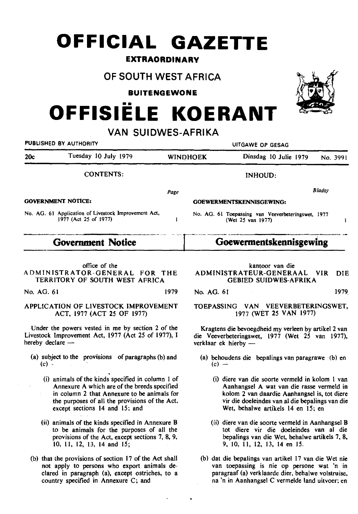## **OFFICIAL GAZETTE**

#### **EXTRAORDINARY**

### **OF SOUTH WEST AFRICA**

**BUITENGEWONE** 

# **OFFISIELE KOERANT**

**VAN SUIDWES-AFRIKA** 

| PUBLISHED BY AUTHORITY                                                        |                                                                         | UITGAWE OP GESAG |                       |                                                     |  |
|-------------------------------------------------------------------------------|-------------------------------------------------------------------------|------------------|-----------------------|-----------------------------------------------------|--|
| Tuesday 10 July 1979                                                          |                                                                         |                  | Dinsdag 10 Julie 1979 | No. 3991                                            |  |
| <b>CONTENTS:</b>                                                              |                                                                         |                  | <b>INHOUD:</b>        |                                                     |  |
|                                                                               | Page                                                                    |                  |                       | <b>Blaasy</b>                                       |  |
| <b>GOVERNMENT NOTICE:</b>                                                     |                                                                         |                  |                       |                                                     |  |
| No. AG. 61 Application of Livestock Improvement Act,<br>1977 (Act 25 of 1977) | No. AG. 61 Toepassing van Veeverbeteringswet, 1977<br>(Wet 25 van 1977) |                  |                       |                                                     |  |
| <b>Government Notice</b>                                                      |                                                                         |                  |                       |                                                     |  |
|                                                                               |                                                                         |                  | <b>WINDHOEK</b>       | GOEWERMENTSKENNISGEWING:<br>Goewermentskennisgewing |  |

office of the ADMINISTRATOR-GENERAL FOR THE TERRITORY OF SOUTH WEST AFRICA

No. AG. 61 1979

#### APPLICATION OF LIVESTOCK IMPROVEMENT ACT, 1977 (ACT 25 OF 1977)

Under the powers vested in me by section 2 of the Livestock Improvement Act, 1977 (Act 25 of 1977), I hereby declare -

- (a) subject to the provisions of paragraphs (b) and  $(c) -$ 
	- (i) animals of the kinds specified in column I of Annexure A which are of the breeds specified in column 2 that Annexure to be animals for the purposes of all the provisions of the Act, except sections 14 and 15; and
	- (ii) animals of the kinds specified in Annexure B to be animals for the purposes of all the provisions of the Act, except sections 7, 8, 9, 10, II, 12, 13, 14 and 15;
- (b) that the provisions of section 17 of the Act shall not apply to persons who export animals declared in paragraph (a), except ostriches, to a country specified in Annexure C; and

#### kantoor van die ADMINISTRATEUR-GENERAAL VIR DIE GEBIED SUIDWES-AFRIKA

No. AG. 61 1979

#### TOEPASSING VAN VEEVERBETERINGSWET, 1977 (WET 25 VAN 1977)

Kragtens die bevoegdheid my verleen by artikel 2 van die Veeverbeteringswet, 1977 (Wet 25 van 1977), verklaar ek hierby -

- (a) behoudens die bepalings van paragrawe (b) en  $(c)$  —
	- (i) diere van die soorte vermeld in kolom I van Aanhangsel A wat van die rasse vermeld in kolom 2 van daardie Aanhangsel is, tot diere vir die doeleindes van al die bepalings van die Wet, behalwe artikels 14 en 15; en
	- (ii) diere van die soorte vermeld in Aanhangsel B tot diere vir die doeleindes van al die bepalings van die Wet, behalwe artikels 7, 8, 9, 10, II, 12, 13, 14 en I5.
- (b) dat die bepalings van artikel 17 van die Wet nie van toepassing is nie op persone wat 'n in paragraaf (a) verklaarde dier, behalwe volstruise, na 'n in Aanhangsel C vermelde land uitvoer; en

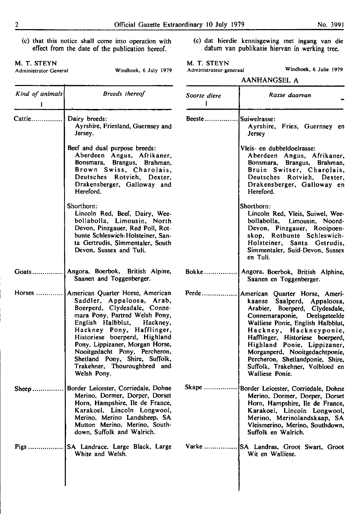- (c) that this notice shall come into operation with effect from the date of the publication hereof.
- 

M. T. STEYN<br>Administrator-General

(c) dat hierdie kennisgewing met ingang van die datum van publikasie hiervan in werking tree.

M. T. STEYN<br>Administrateur-ge

| Administrateur-generaal | Windhock, 6 Julie 1979 |  |  |
|-------------------------|------------------------|--|--|
|-------------------------|------------------------|--|--|

|                      |                                                                                                                                                                                                                                                                                                                                                                                  |                          | <b>AANHANGSEL A</b>                                                                                                                                                                                                                                                                                                                                                                            |
|----------------------|----------------------------------------------------------------------------------------------------------------------------------------------------------------------------------------------------------------------------------------------------------------------------------------------------------------------------------------------------------------------------------|--------------------------|------------------------------------------------------------------------------------------------------------------------------------------------------------------------------------------------------------------------------------------------------------------------------------------------------------------------------------------------------------------------------------------------|
| Kind of animals<br>1 | <b>Breeds</b> thereof                                                                                                                                                                                                                                                                                                                                                            | Soorte diere             | Rasse daarvan                                                                                                                                                                                                                                                                                                                                                                                  |
| $Cattle$             | Dairy breeds:<br>Ayrshire, Friesland, Guernsey and<br>Jersey.                                                                                                                                                                                                                                                                                                                    | Beeste $\dots\dots\dots$ | Suiwelrasse:<br>Ayrshire, Fries, Guernsey en<br><b>Jersey</b>                                                                                                                                                                                                                                                                                                                                  |
|                      | Beef and dual purpose breeds:<br>Aberdeen Angus, Afrikaner,<br>Bonsmara, Brangus, Brahman,<br>Brown Swiss, Charolais,<br>Deutsches Rotvieh, Dexter,<br>Drakensberger, Galloway and<br>Hereford.                                                                                                                                                                                  |                          | Vleis- en dubbeldoelrasse:<br>Aberdeen Angus, Afrikaner,<br>Bonsmara, Brangus, Brahman,<br>Bruin Switser, Charolais,<br>Deutsches Rotvieh, Dexter,<br>Drakensberger, Galloway en<br>Hereford.                                                                                                                                                                                                  |
|                      | Shorthorn:<br>Lincoln Red, Beef, Dairy, Wee-<br>bollabolla, Limousin, North<br>Devon, Pinzgauer, Red Poll, Rot-<br>bunte Schleswich-Holsteiner, San-<br>ta Gertrudis, Simmentaler, South<br>Devon, Sussex and Tuli.                                                                                                                                                              |                          | Shorthorn:<br>Lincoln Red, Vleis, Suiwel, Wee-<br>bollabolla, Limousin, Noord-<br>Devon, Pinzgauer, Rooipoen-<br>skop, Rotbunte Schleswich-<br>Holsteiner, Santa Getrudis,<br>Simmentaler, Suid-Devon, Sussex<br>en Tuli.                                                                                                                                                                      |
| $G$ oats             | Angora, Boerbok, British Alpine,<br>Saanen and Toggenberger.                                                                                                                                                                                                                                                                                                                     | <b>Bokke</b>             | Angora, Boerbok, British Alphine,<br>Saanen en Toggenberger.                                                                                                                                                                                                                                                                                                                                   |
| $H$ orses            | American Quarter Horse, American<br>Saddler, Appaloosa, Arab,<br>Boerperd, Clydesdale, Conne-<br>mara Pony, Partred Welsh Pony,<br>English Halbblut, Hackney,<br>Hackney Pony, Hafflinger,<br>Historiese boerperd, Highland<br>Pony, Lippizaner, Morgan Horse,<br>Nooitgedacht Pony, Percheron,<br>Shetland Pony, Shire, Suffolk,<br>Trakehner, Thouroughbred and<br>Welsh Pony. | $Perde \dots$            | American Quarter Horse, Ameri-<br>kaanse Saalperd, Appaloosa,<br>Arabier, Boerperd, Clydesdale,<br>Connemaraponie, Deelsgeteelde<br>Walliese Ponie, English Halbblut,<br>Hackney, Hackneyponie,<br>Hafflinger, Historiese boerperd,<br>Highland Ponie, Lippizaner,<br>Morganperd, Nooitgedachtponie,<br>Percheron, Shetlandponie, Shire,<br>Suffolk, Trakehner, Volbloed en<br>Walliese Ponie. |
| Sheep.               | Border Leicester, Corriedale, Dohne<br>Merino, Dormer, Dorper, Dorset<br>Horn, Hampshire, Ile de France,<br>Karakoel, Lincoln Longwool,<br>Merino, Merino Landsheep, SA<br>Mutton Merino, Merino, South-<br>down, Suffolk and Walrich.                                                                                                                                           | Skape                    | Border Leicester, Corriedale, Dohne<br>Merino, Dormer, Dorper, Dorset<br>Horn, Hampshire, Ile de France,<br>Karakoel, Lincoln Longwool,<br>Merino, Merinolandskaap, SA<br>Vleismerino, Merino, Southdown,<br>Suffolk en Walrich.                                                                                                                                                               |
| $Pigs$               | SA Landrace, Large Black, Large<br>White and Welsh.                                                                                                                                                                                                                                                                                                                              | Varke                    | SA Landras, Groot Swart, Groot<br>Wit en Walliese.                                                                                                                                                                                                                                                                                                                                             |